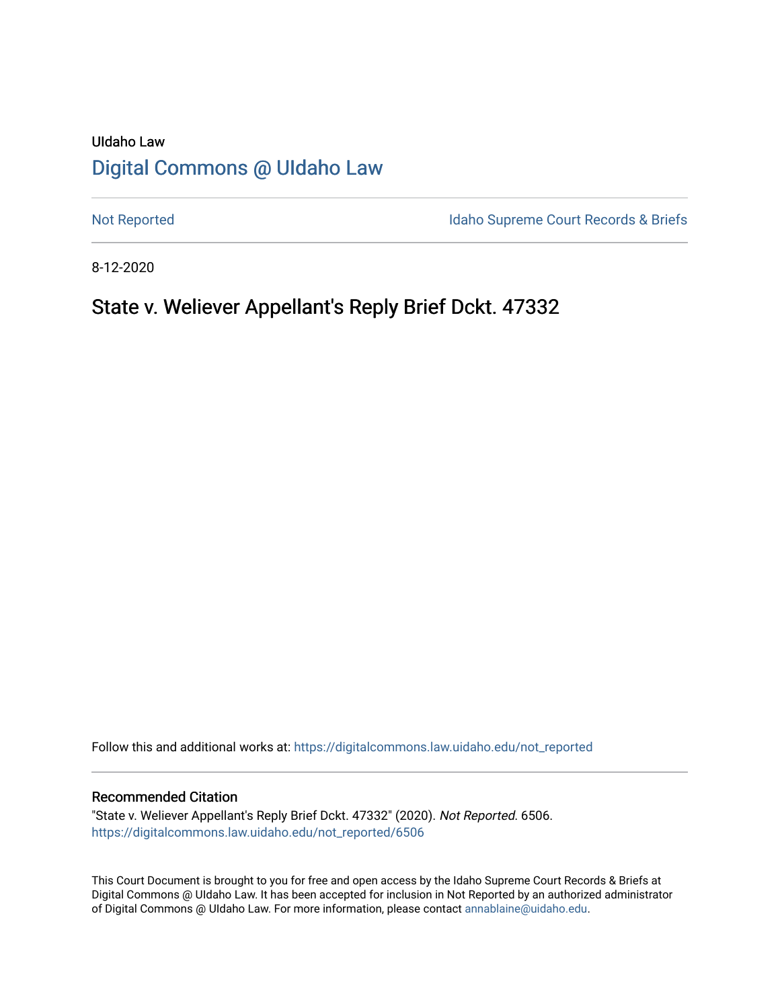# UIdaho Law [Digital Commons @ UIdaho Law](https://digitalcommons.law.uidaho.edu/)

[Not Reported](https://digitalcommons.law.uidaho.edu/not_reported) **Idaho Supreme Court Records & Briefs** 

8-12-2020

# State v. Weliever Appellant's Reply Brief Dckt. 47332

Follow this and additional works at: [https://digitalcommons.law.uidaho.edu/not\\_reported](https://digitalcommons.law.uidaho.edu/not_reported?utm_source=digitalcommons.law.uidaho.edu%2Fnot_reported%2F6506&utm_medium=PDF&utm_campaign=PDFCoverPages) 

#### Recommended Citation

"State v. Weliever Appellant's Reply Brief Dckt. 47332" (2020). Not Reported. 6506. [https://digitalcommons.law.uidaho.edu/not\\_reported/6506](https://digitalcommons.law.uidaho.edu/not_reported/6506?utm_source=digitalcommons.law.uidaho.edu%2Fnot_reported%2F6506&utm_medium=PDF&utm_campaign=PDFCoverPages)

This Court Document is brought to you for free and open access by the Idaho Supreme Court Records & Briefs at Digital Commons @ UIdaho Law. It has been accepted for inclusion in Not Reported by an authorized administrator of Digital Commons @ UIdaho Law. For more information, please contact [annablaine@uidaho.edu](mailto:annablaine@uidaho.edu).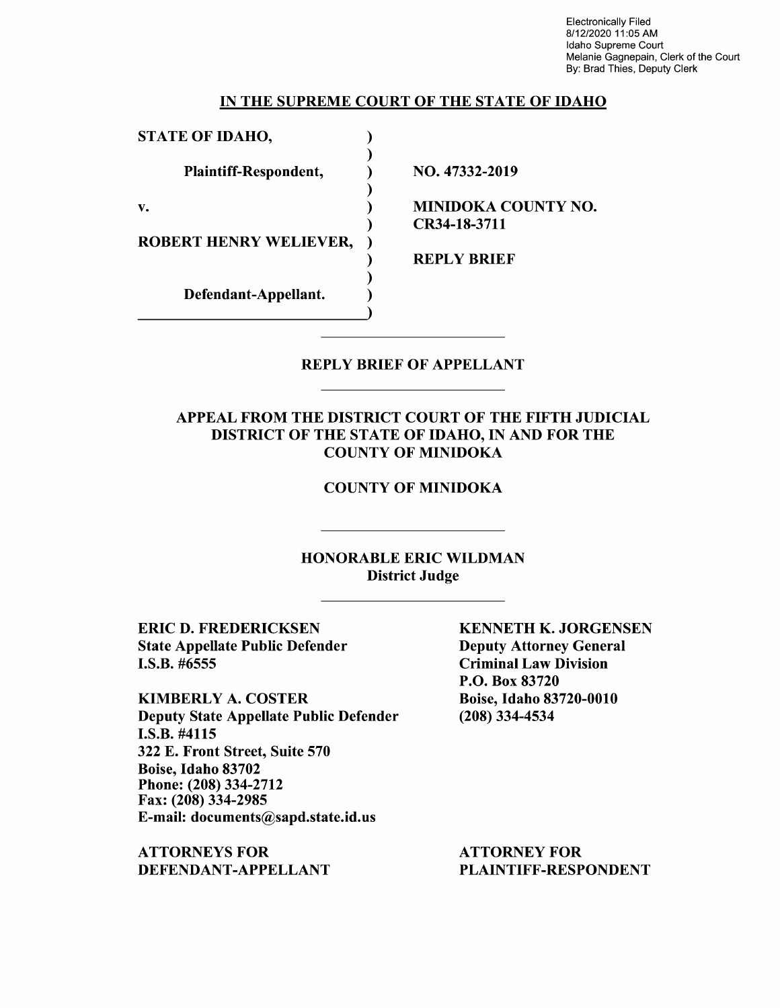Electronically Filed 8/12/2020 11 :05 AM Idaho Supreme Court Melanie Gagnepain, Clerk of the Court By: Brad Thies, Deputy Clerk

#### IN THE SUPREME COURT OF THE STATE OF IDAHO

STATE OF IDAHO, ) Plaintiff-Respondent, ) )  $\mathbf{v.}$  ) ) ROBERT HENRY WELIEVER, ) ) Defendant-Appellant. )

NO. 47332-2019

MINIDOKA COUNTY NO. CR34-18-3711

REPLY BRIEF

### REPLY BRIEF OF APPELLANT

### APPEAL FROM THE DISTRICT COURT OF THE FIFTH JUDICIAL DISTRICT OF THE STATE OF IDAHO, IN AND FOR THE COUNTY OF MINIDOKA

#### COUNTY OF MINIDOKA

### HONORABLE ERIC WILDMAN District Judge

ERIC D. FREDERICKSEN State Appellate Public Defender I.S.B. #6555

KIMBERLY A. COSTER Deputy State Appellate Public Defender I.S.B. #4115 322 E. Front Street, Suite 570 Boise, Idaho 83702 Phone:(208)334-2712 Fax: (208) 334-2985 E-mail: documents@sapd.state.id.us

ATTORNEYS FOR DEFENDANT-APPELLANT

KENNETH K. JORGENSEN Deputy Attorney General Criminal Law Division P.O. Box 83720 Boise, Idaho 83720-0010 (208) 334-4534

ATTORNEY FOR PLAINTIFF-RESPONDENT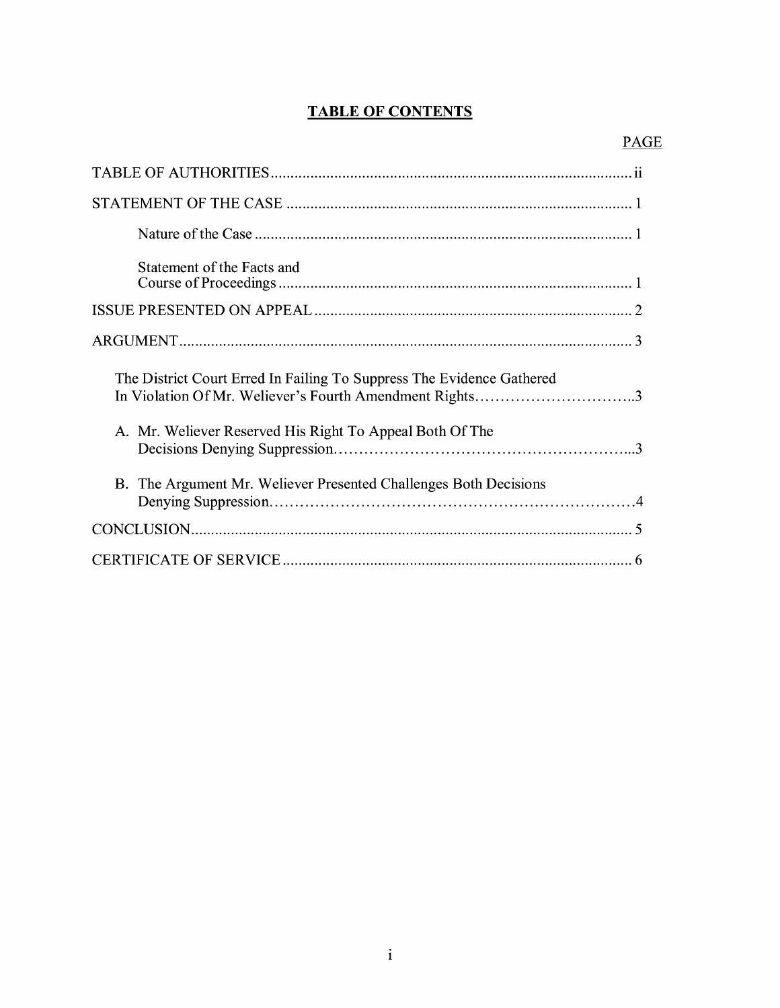# **TABLE OF CONTENTS**

| Statement of the Facts and                                                                                                       |
|----------------------------------------------------------------------------------------------------------------------------------|
|                                                                                                                                  |
|                                                                                                                                  |
| The District Court Erred In Failing To Suppress The Evidence Gathered<br>In Violation Of Mr. Weliever's Fourth Amendment Rights3 |
| A. Mr. Weliever Reserved His Right To Appeal Both Of The                                                                         |
| B. The Argument Mr. Weliever Presented Challenges Both Decisions                                                                 |
|                                                                                                                                  |
|                                                                                                                                  |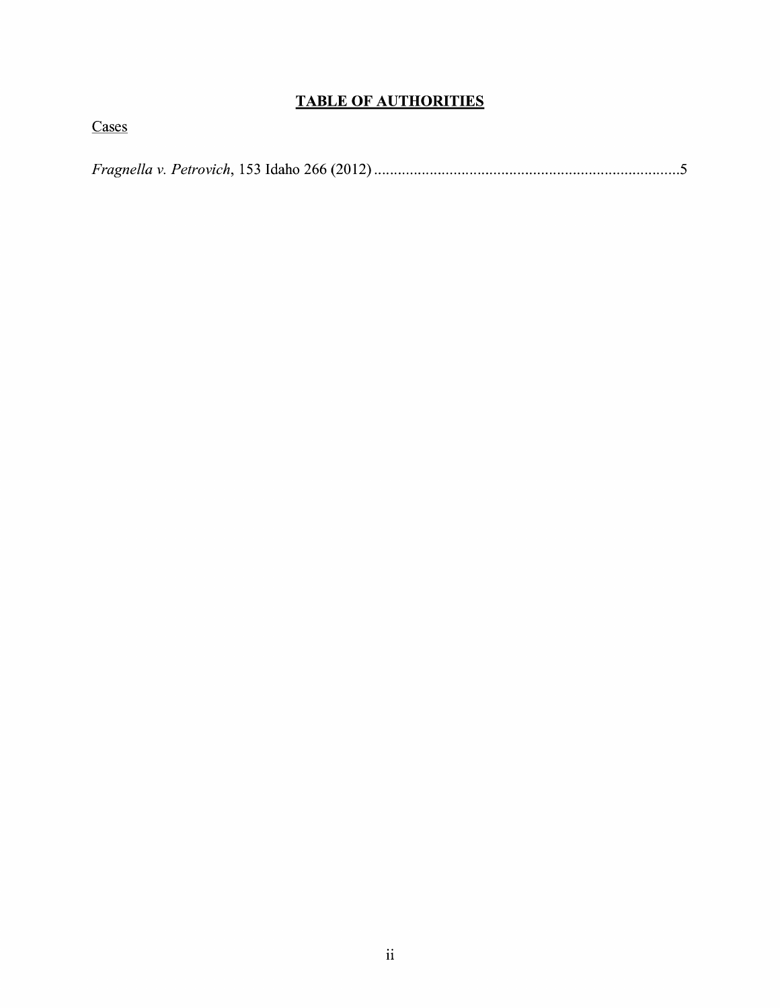# **TABLE OF AUTHORITIES**

Cases

*Fragnella v. Petrovich,* 153 Idaho 266 (2012) ............................................................................. 5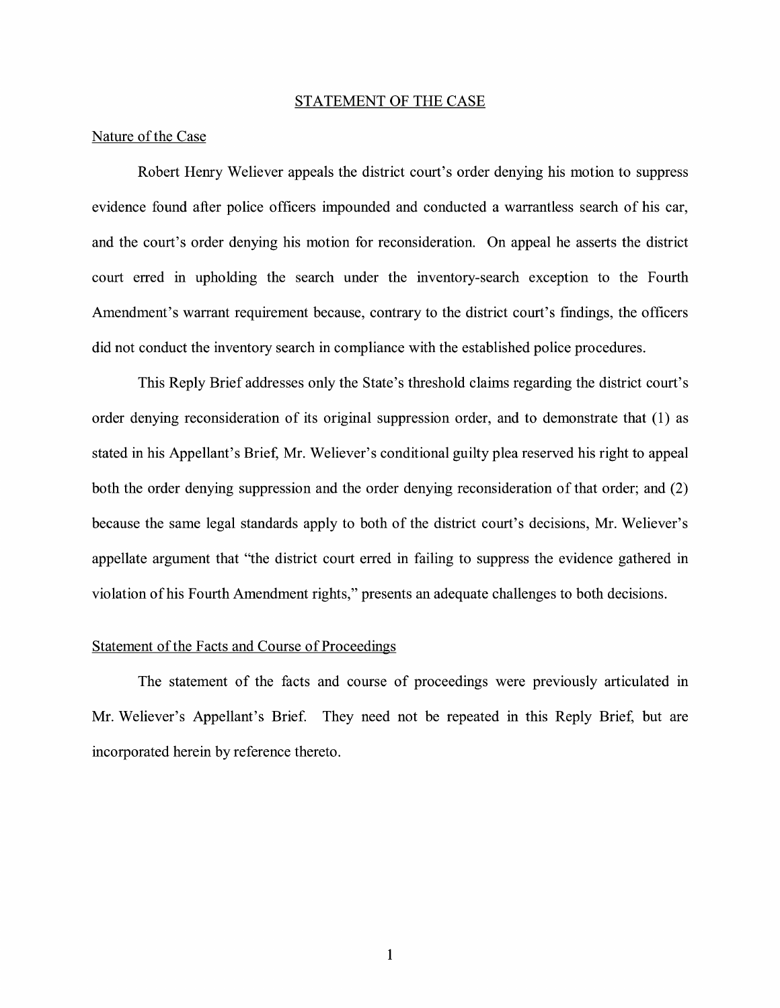#### STATEMENT OF THE CASE

#### Nature of the Case

Robert Henry Weliever appeals the district court's order denying his motion to suppress evidence found after police officers impounded and conducted a warrantless search of his car, and the court's order denying his motion for reconsideration. On appeal he asserts the district court erred in upholding the search under the inventory-search exception to the Fourth Amendment's warrant requirement because, contrary to the district court's findings, the officers did not conduct the inventory search in compliance with the established police procedures.

This Reply Brief addresses only the State's threshold claims regarding the district court's order denying reconsideration of its original suppression order, and to demonstrate that (1) as stated in his Appellant's Brief, Mr. Weliever's conditional guilty plea reserved his right to appeal both the order denying suppression and the order denying reconsideration of that order; and (2) because the same legal standards apply to both of the district court's decisions, Mr. Weliever's appellate argument that "the district court erred in failing to suppress the evidence gathered in violation of his Fourth Amendment rights," presents an adequate challenges to both decisions.

#### Statement of the Facts and Course of Proceedings

The statement of the facts and course of proceedings were previously articulated in Mr. Weliever's Appellant's Brief. They need not be repeated in this Reply Brief, but are incorporated herein by reference thereto.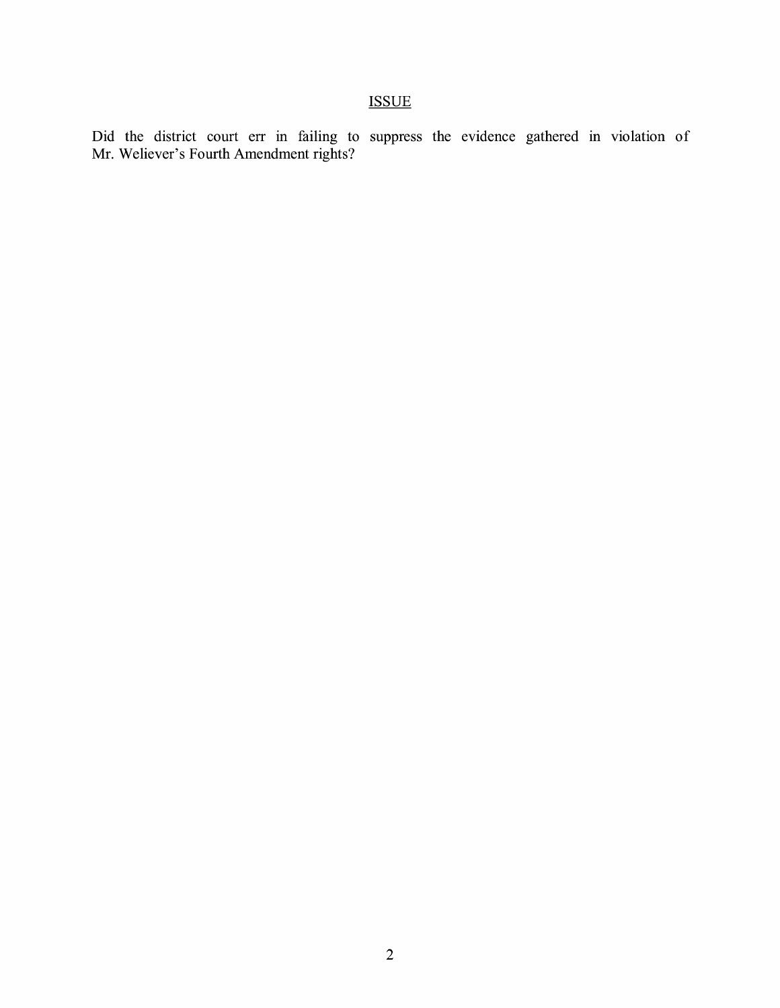Did the district court err in failing to suppress the evidence gathered in violation of Mr. Weliever's Fourth Amendment rights?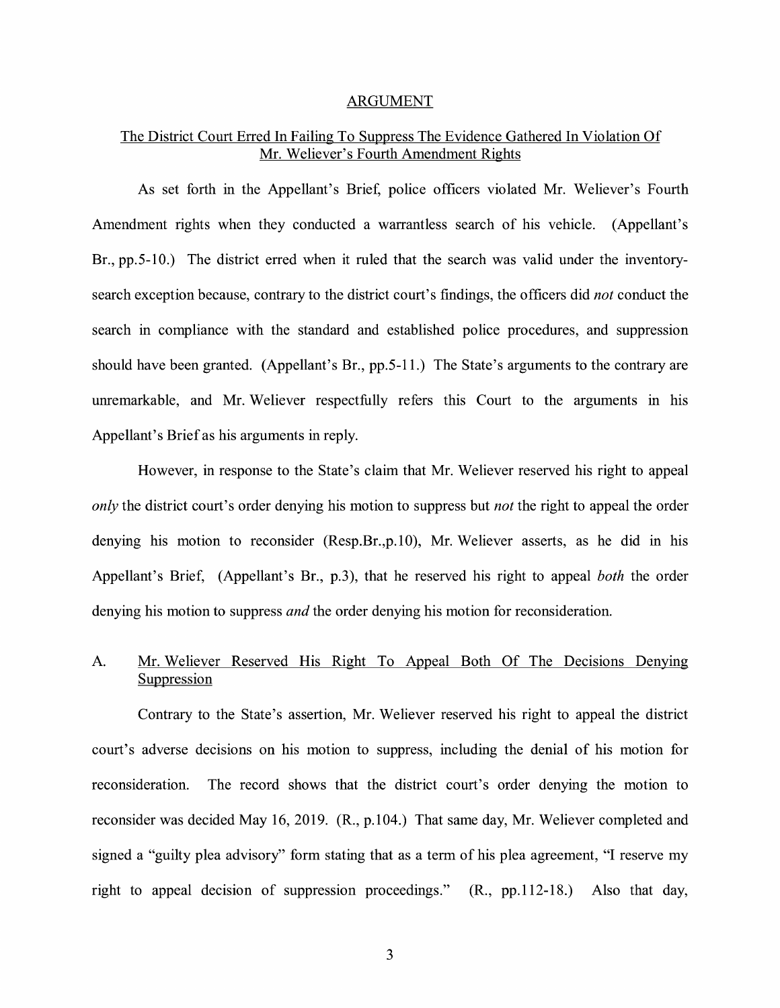#### ARGUMENT

## The District Court Erred In Failing To Suppress The Evidence Gathered In Violation Of Mr. Weliever's Fourth Amendment Rights

As set forth in the Appellant's Brief, police officers violated Mr. Weliever's Fourth Amendment rights when they conducted a warrantless search of his vehicle. (Appellant's Br., pp. 5-10.) The district erred when it ruled that the search was valid under the inventorysearch exception because, contrary to the district court's findings, the officers did *not* conduct the search in compliance with the standard and established police procedures, and suppression should have been granted. (Appellant's Br., pp.5-11.) The State's arguments to the contrary are unremarkable, and Mr. Weliever respectfully refers this Court to the arguments in his Appellant's Brief as his arguments in reply.

However, in response to the State's claim that Mr. Weliever reserved his right to appeal *only* the district court's order denying his motion to suppress but *not* the right to appeal the order denying his motion to reconsider (Resp.Br.,p.10), Mr. Weliever asserts, as he did in his Appellant's Brief, (Appellant's Br., p.3), that he reserved his right to appeal *both* the order denying his motion to suppress *and* the order denying his motion for reconsideration.

## A. Mr. Weliever Reserved His Right To Appeal Both Of The Decisions Denying Suppression

Contrary to the State's assertion, Mr. Weliever reserved his right to appeal the district court's adverse decisions on his motion to suppress, including the denial of his motion for reconsideration. The record shows that the district court's order denying the motion to reconsider was decided May 16, 2019. (R., p.104.) That same day, Mr. Weliever completed and signed a "guilty plea advisory" form stating that as a term of his plea agreement, "I reserve my right to appeal decision of suppression proceedings." (R., pp.112-18.) Also that day,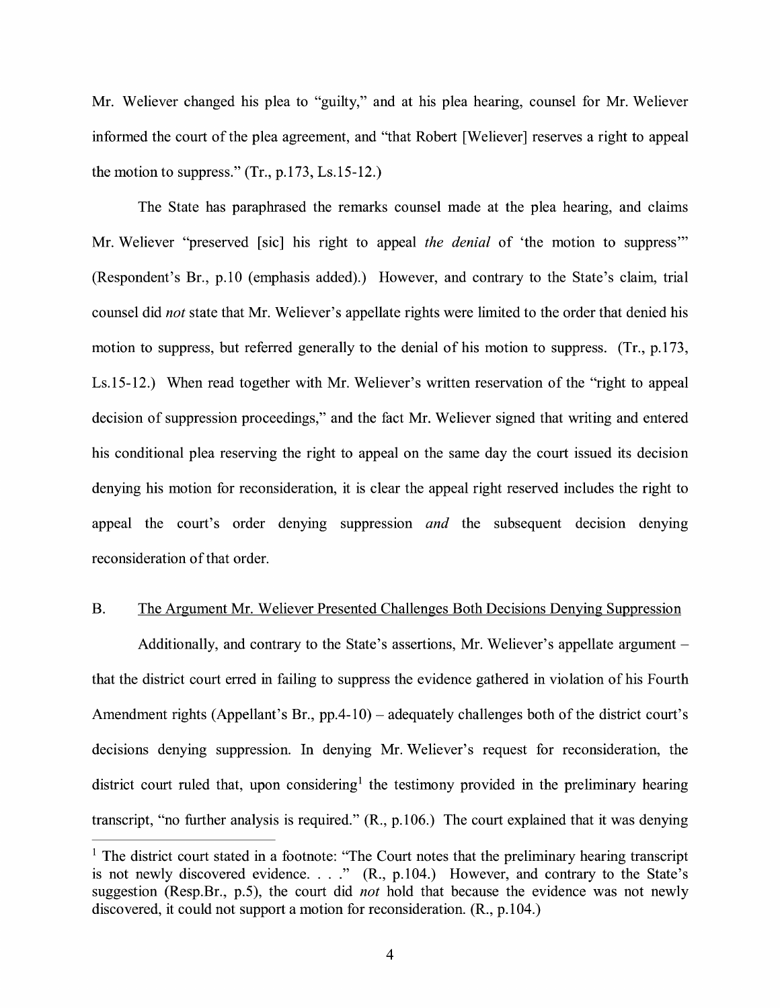Mr. Weliever changed his plea to "guilty," and at his plea hearing, counsel for Mr. Weliever informed the court of the plea agreement, and "that Robert [Weliever] reserves a right to appeal the motion to suppress."  $(Tr., p.173, Ls.15-12.)$ 

The State has paraphrased the remarks counsel made at the plea hearing, and claims Mr. Weliever "preserved [sic] his right to appeal *the denial* of 'the motion to suppress"' (Respondent's Br., p.10 (emphasis added).) However, and contrary to the State's claim, trial counsel did *not* state that Mr. Weliever's appellate rights were limited to the order that denied his motion to suppress, but referred generally to the denial of his motion to suppress. (Tr., p.173, Ls.15-12.) When read together with Mr. Weliever's written reservation of the "right to appeal decision of suppression proceedings," and the fact Mr. Weliever signed that writing and entered his conditional plea reserving the right to appeal on the same day the court issued its decision denying his motion for reconsideration, it is clear the appeal right reserved includes the right to appeal the court's order denying suppression *and* the subsequent decision denying reconsideration of that order.

#### B. The Argument Mr. Weliever Presented Challenges Both Decisions Denying Suppression

Additionally, and contrary to the State's assertions, Mr. Weliever's appellate argument – that the district court erred in failing to suppress the evidence gathered in violation of his Fourth Amendment rights (Appellant's Br., pp.4-10) – adequately challenges both of the district court's decisions denying suppression. In denying Mr. Weliever's request for reconsideration, the district court ruled that, upon considering<sup>1</sup> the testimony provided in the preliminary hearing transcript, "no further analysis is required." (R., p.106.) The court explained that it was denying

<sup>&</sup>lt;sup>1</sup> The district court stated in a footnote: "The Court notes that the preliminary hearing transcript is not newly discovered evidence. . . ." (R., p.104.) However, and contrary to the State's suggestion (Resp.Br., p.5), the court did *not* hold that because the evidence was not newly discovered, it could not support a motion for reconsideration. (R., p.104.)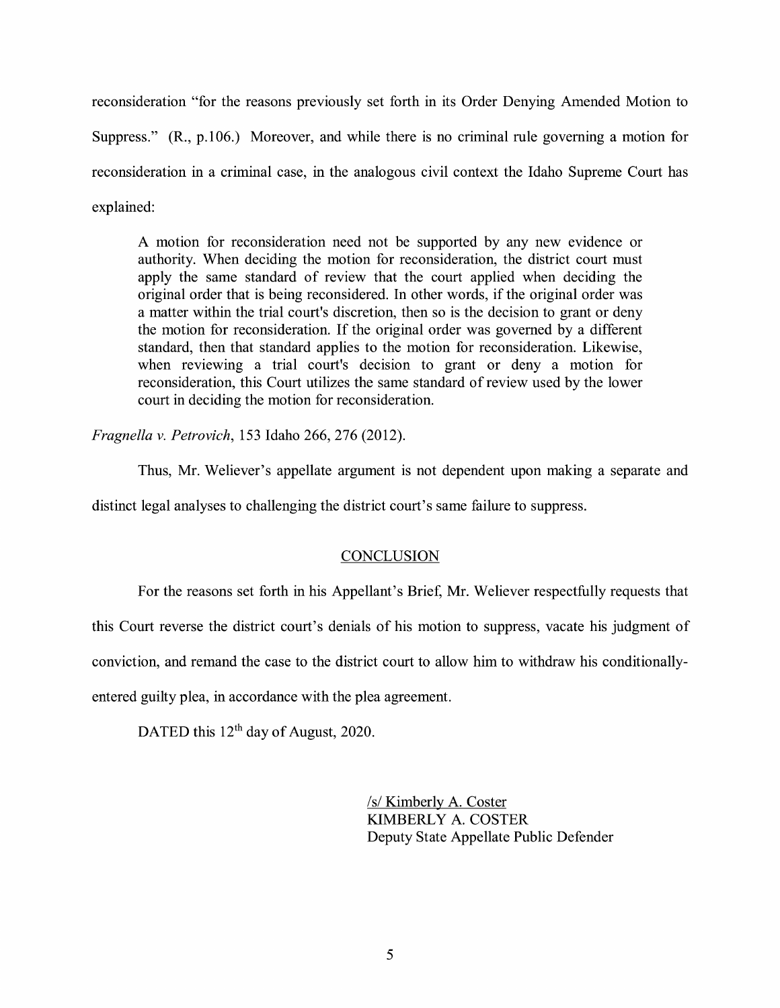reconsideration "for the reasons previously set forth in its Order Denying Amended Motion to Suppress." (R., p.106.) Moreover, and while there is no criminal rule governing a motion for reconsideration in a criminal case, in the analogous civil context the Idaho Supreme Court has explained:

A motion for reconsideration need not be supported by any new evidence or authority. When deciding the motion for reconsideration, the district court must apply the same standard of review that the court applied when deciding the original order that is being reconsidered. In other words, if the original order was a matter within the trial court's discretion, then so is the decision to grant or deny the motion for reconsideration. If the original order was governed by a different standard, then that standard applies to the motion for reconsideration. Likewise, when reviewing a trial court's decision to grant or deny a motion for reconsideration, this Court utilizes the same standard of review used by the lower court in deciding the motion for reconsideration.

*Fragnella v. Petrovich,* 153 Idaho 266, 276 (2012).

Thus, Mr. Weliever's appellate argument is not dependent upon making a separate and

distinct legal analyses to challenging the district court's same failure to suppress.

#### **CONCLUSION**

For the reasons set forth in his Appellant's Brief, Mr. Weliever respectfully requests that

this Court reverse the district court's denials of his motion to suppress, vacate his judgment of

conviction, and remand the case to the district court to allow him to withdraw his conditionally-

entered guilty plea, in accordance with the plea agreement.

DATED this 12<sup>th</sup> day of August, 2020.

/s/ Kimberly A. Coster KIMBERLY A. COSTER Deputy State Appellate Public Defender